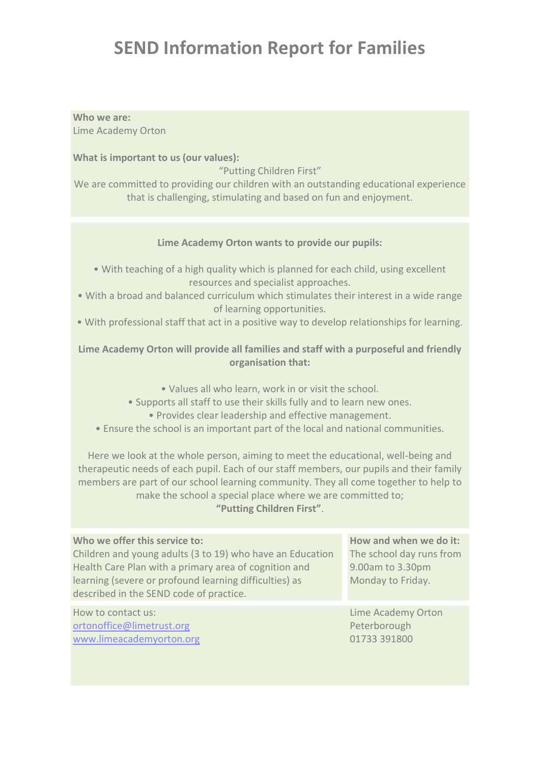## **SEND Information Report for Families**

### **Who we are:**

Lime Academy Orton

**What is important to us (our values):**

"Putting Children First"

We are committed to providing our children with an outstanding educational experience that is challenging, stimulating and based on fun and enjoyment.

#### **Lime Academy Orton wants to provide our pupils:**

- With teaching of a high quality which is planned for each child, using excellent resources and specialist approaches.
- With a broad and balanced curriculum which stimulates their interest in a wide range of learning opportunities.
- With professional staff that act in a positive way to develop relationships for learning.

#### **Lime Academy Orton will provide all families and staff with a purposeful and friendly organisation that:**

- Values all who learn, work in or visit the school.
- Supports all staff to use their skills fully and to learn new ones.
	- Provides clear leadership and effective management.
- Ensure the school is an important part of the local and national communities.

Here we look at the whole person, aiming to meet the educational, well-being and therapeutic needs of each pupil. Each of our staff members, our pupils and their family members are part of our school learning community. They all come together to help to make the school a special place where we are committed to; **"Putting Children First"**.

| Who we offer this service to:                             | How and when we do it:   |
|-----------------------------------------------------------|--------------------------|
| Children and young adults (3 to 19) who have an Education | The school day runs from |
| Health Care Plan with a primary area of cognition and     | 9.00am to 3.30pm         |
| learning (severe or profound learning difficulties) as    | Monday to Friday.        |
| described in the SEND code of practice.                   |                          |
|                                                           |                          |
| How to contact us:                                        | Lime Academy Orton       |
| ortonoffice@limetrust.org                                 | Peterborough             |

[www.limeacademyorton.org](http://www.limeacademyorton.org/)

Peterborough 01733 391800